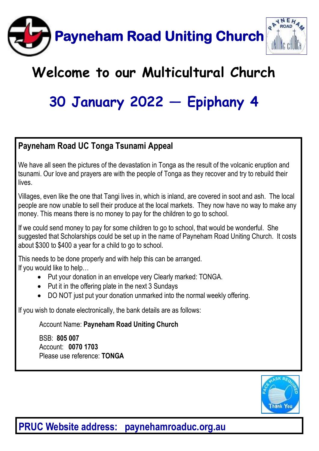

# **Welcome to our Multicultural Church**

# **30 January 2022 — Epiphany 4**

#### **Payneham Road UC Tonga Tsunami Appeal**

We have all seen the pictures of the devastation in Tonga as the result of the volcanic eruption and tsunami. Our love and prayers are with the people of Tonga as they recover and try to rebuild their lives.

Villages, even like the one that Tangi lives in, which is inland, are covered in soot and ash. The local people are now unable to sell their produce at the local markets. They now have no way to make any money. This means there is no money to pay for the children to go to school.

If we could send money to pay for some children to go to school, that would be wonderful. She suggested that Scholarships could be set up in the name of Payneham Road Uniting Church. It costs about \$300 to \$400 a year for a child to go to school.

This needs to be done properly and with help this can be arranged. If you would like to help…

- Put your donation in an envelope very Clearly marked: TONGA.
- Put it in the offering plate in the next 3 Sundays
- DO NOT just put your donation unmarked into the normal weekly offering.

If you wish to donate electronically, the bank details are as follows:

Account Name: **Payneham Road Uniting Church** 

BSB: **805 007**  Account: **0070 1703** Please use reference: **TONGA**



### **PRUC Website address: paynehamroaduc.org.au**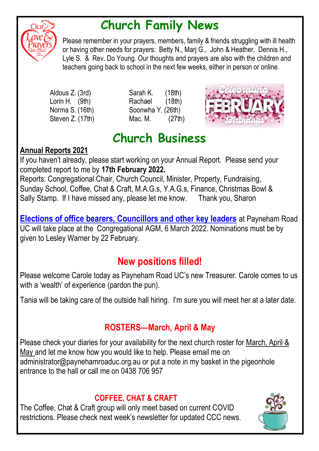

# **Church Family News**

Please remember in your prayers, members, family & friends struggling with ill health or having other needs for prayers: Betty N., Marj G., John & Heather, Dennis H., Lyle S. & Rev. Do Young. Our thoughts and prayers are also with the children and teachers going back to school in the next few weeks, either in person or online.

- 
- Aldous Z. (3rd) Sarah K. (18th) Lorin H. (9th) Rachael (18th) Norma S. (16th) Soonwha Y. (26th) Steven Z. (17th) Mac. M. (27th)



# **Church Business**

#### **Annual Reports 2021**

If you haven't already, please start working on your Annual Report. Please send your completed report to me by **17th February 2022.** 

Reports: Congregational Chair, Church Council, Minister, Property, Fundraising, Sunday School, Coffee, Chat & Craft, M.A.G.s, Y.A.G.s, Finance, Christmas Bowl & Sally Stamp. If I have missed any, please let me know. Thank you, Sharon

**Elections of office bearers, Councillors and other key leaders** at Payneham Road UC will take place at the Congregational AGM, 6 March 2022. Nominations must be by given to Lesley Warner by 22 February.

### **New positions filled!**

Please welcome Carole today as Payneham Road UC's new Treasurer. Carole comes to us with a 'wealth' of experience (pardon the pun).

Tania will be taking care of the outside hall hiring. I'm sure you will meet her at a later date.

#### **ROSTERS—March, April & May**

Please check your diaries for your availability for the next church roster for March, April & May and let me know how you would like to help. Please email me on administrator@paynehamroaduc.org.au or put a note in my basket in the pigeonhole entrance to the hall or call me on 0438 706 957

#### **COFFEE, CHAT & CRAFT**

The Coffee, Chat & Craft group will only meet based on current COVID restrictions. Please check next week's newsletter for updated CCC news.

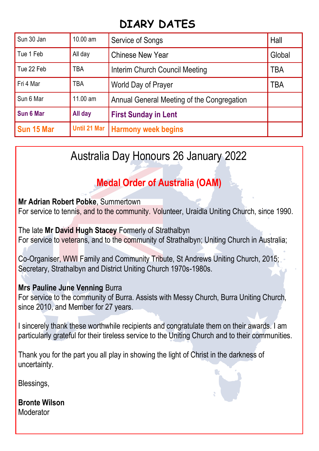### **DIARY DATES**

| Sun 30 Jan | $10.00 \text{ am}$ | Service of Songs                           | Hall   |
|------------|--------------------|--------------------------------------------|--------|
| Tue 1 Feb  | All day            | <b>Chinese New Year</b>                    | Global |
| Tue 22 Feb | TRA                | Interim Church Council Meeting             | TBA    |
| Fri 4 Mar  | <b>TBA</b>         | World Day of Prayer                        | TBA    |
| Sun 6 Mar  | $11.00$ am         | Annual General Meeting of the Congregation |        |
| Sun 6 Mar  | All day            | <b>First Sunday in Lent</b>                |        |
| Sun 15 Mar |                    | Until 21 Mar   Harmony week begins         |        |

### Australia Day Honours 26 January 2022

### **Medal Order of Australia (OAM)**

**Mr Adrian Robert Pobke**, Summertown

For service to tennis, and to the community. Volunteer, Uraidla Uniting Church, since 1990.

The late **Mr David Hugh Stacey** Formerly of Strathalbyn For service to veterans, and to the community of Strathalbyn; Uniting Church in Australia;

Co-Organiser, WWI Family and Community Tribute, St Andrews Uniting Church, 2015; Secretary, Strathalbyn and District Uniting Church 1970s-1980s.

#### **Mrs Pauline June Venning** Burra

For service to the community of Burra. Assists with Messy Church, Burra Uniting Church, since 2010, and Member for 27 years.

I sincerely thank these worthwhile recipients and congratulate them on their awards. I am particularly grateful for their tireless service to the Uniting Church and to their communities.

Thank you for the part you all play in showing the light of Christ in the darkness of uncertainty.

Blessings,

**Bronte Wilson** Moderator